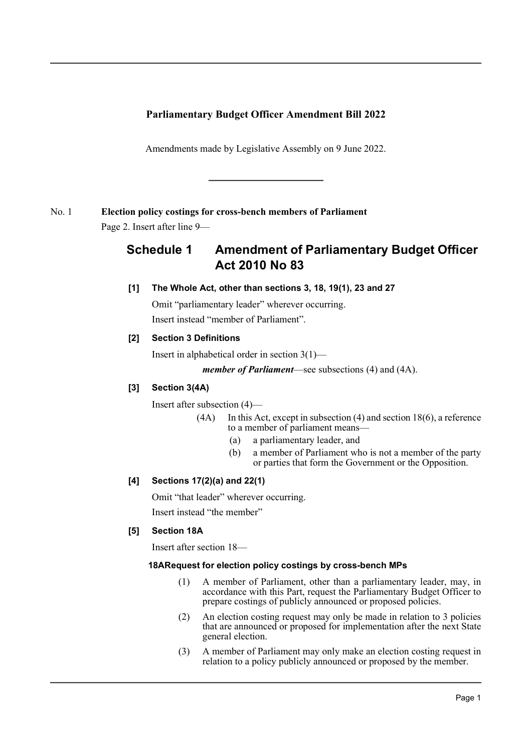### **Parliamentary Budget Officer Amendment Bill 2022**

Amendments made by Legislative Assembly on 9 June 2022.

### No. 1 **Election policy costings for cross-bench members of Parliament**

Page 2. Insert after line 9—

# **Schedule 1 Amendment of Parliamentary Budget Officer Act 2010 No 83**

### **[1] The Whole Act, other than sections 3, 18, 19(1), 23 and 27**

Omit "parliamentary leader" wherever occurring.

Insert instead "member of Parliament".

### **[2] Section 3 Definitions**

Insert in alphabetical order in section 3(1)—

*member of Parliament*—see subsections (4) and (4A).

### **[3] Section 3(4A)**

Insert after subsection (4)—

- $(4A)$  In this Act, except in subsection  $(4)$  and section 18 $(6)$ , a reference to a member of parliament means—
	- (a) a parliamentary leader, and
	- (b) a member of Parliament who is not a member of the party or parties that form the Government or the Opposition.

### **[4] Sections 17(2)(a) and 22(1)**

Omit "that leader" wherever occurring.

Insert instead "the member"

### **[5] Section 18A**

Insert after section 18—

#### **18ARequest for election policy costings by cross-bench MPs**

- (1) A member of Parliament, other than a parliamentary leader, may, in accordance with this Part, request the Parliamentary Budget Officer to prepare costings of publicly announced or proposed policies.
- (2) An election costing request may only be made in relation to 3 policies that are announced or proposed for implementation after the next State general election.
- (3) A member of Parliament may only make an election costing request in relation to a policy publicly announced or proposed by the member.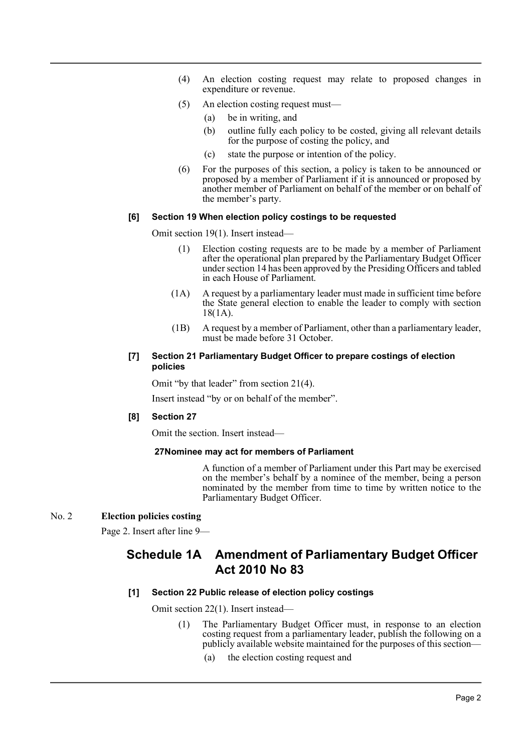- (4) An election costing request may relate to proposed changes in expenditure or revenue.
- (5) An election costing request must—
	- (a) be in writing, and
	- (b) outline fully each policy to be costed, giving all relevant details for the purpose of costing the policy, and
	- (c) state the purpose or intention of the policy.
- (6) For the purposes of this section, a policy is taken to be announced or proposed by a member of Parliament if it is announced or proposed by another member of Parliament on behalf of the member or on behalf of the member's party.

#### **[6] Section 19 When election policy costings to be requested**

Omit section 19(1). Insert instead—

- (1) Election costing requests are to be made by a member of Parliament after the operational plan prepared by the Parliamentary Budget Officer under section 14 has been approved by the Presiding Officers and tabled in each House of Parliament.
- (1A) A request by a parliamentary leader must made in sufficient time before the State general election to enable the leader to comply with section 18(1A).
- (1B) A request by a member of Parliament, other than a parliamentary leader, must be made before 31 October.

#### **[7] Section 21 Parliamentary Budget Officer to prepare costings of election policies**

Omit "by that leader" from section 21(4).

Insert instead "by or on behalf of the member".

#### **[8] Section 27**

Omit the section. Insert instead—

#### **27Nominee may act for members of Parliament**

A function of a member of Parliament under this Part may be exercised on the member's behalf by a nominee of the member, being a person nominated by the member from time to time by written notice to the Parliamentary Budget Officer.

#### No. 2 **Election policies costing**

Page 2. Insert after line 9—

## **Schedule 1A Amendment of Parliamentary Budget Officer Act 2010 No 83**

#### **[1] Section 22 Public release of election policy costings**

Omit section 22(1). Insert instead—

- (1) The Parliamentary Budget Officer must, in response to an election costing request from a parliamentary leader, publish the following on a publicly available website maintained for the purposes of this section—
	- (a) the election costing request and